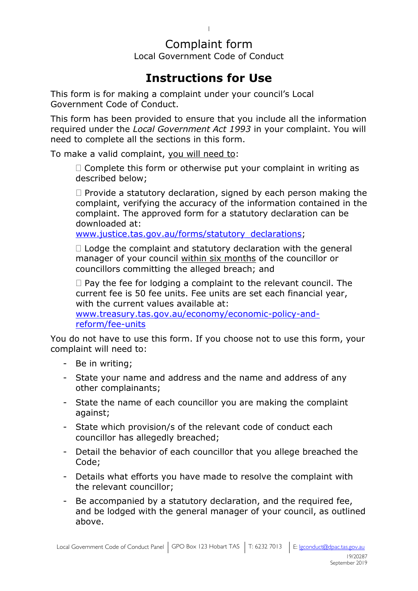### Complaint form

1

Local Government Code of Conduct

### **Instructions for Use**

This form is for making a complaint under your council's Local Government Code of Conduct.

This form has been provided to ensure that you include all the information required under the *Local Government Act 1993* in your complaint. You will need to complete all the sections in this form.

To make a valid complaint, you will need to:

 $\Box$  Complete this form or otherwise put your complaint in writing as described below;

 $\Box$  Provide a statutory declaration, signed by each person making the complaint, verifying the accuracy of the information contained in the complaint. The approved form for a statutory declaration can be downloaded at:

[www.justice.tas.gov.au/forms/statutory\\_declarations;](http://www.justice.tas.gov.au/forms/statutory_declarations)

 $\Box$  Lodge the complaint and statutory declaration with the general manager of your council within six months of the councillor or councillors committing the alleged breach; and

 $\Box$  Pay the fee for lodging a complaint to the relevant council. The current fee is 50 fee units. Fee units are set each financial year, with the current values available at:

[www.treasury.tas.gov.au/economy/economic-policy-and](http://www.treasury.tas.gov.au/economy/economic-policy-and-reform/fee-units)[reform/fee-units](http://www.treasury.tas.gov.au/economy/economic-policy-and-reform/fee-units)

You do not have to use this form. If you choose not to use this form, your complaint will need to:

- Be in writing;
- State your name and address and the name and address of any other complainants;
- State the name of each councillor you are making the complaint against;
- State which provision/s of the relevant code of conduct each councillor has allegedly breached;
- Detail the behavior of each councillor that you allege breached the Code;
- Details what efforts you have made to resolve the complaint with the relevant councillor;
- Be accompanied by a statutory declaration, and the required fee, and be lodged with the general manager of your council, as outlined above.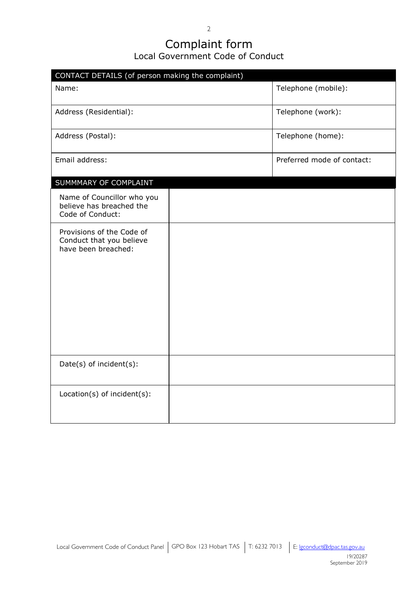#### Complaint form Local Government Code of Conduct

| CONTACT DETAILS (of person making the complaint)                             |  |                            |
|------------------------------------------------------------------------------|--|----------------------------|
| Name:                                                                        |  | Telephone (mobile):        |
| Address (Residential):                                                       |  | Telephone (work):          |
| Address (Postal):                                                            |  | Telephone (home):          |
| Email address:                                                               |  | Preferred mode of contact: |
| SUMMMARY OF COMPLAINT                                                        |  |                            |
| Name of Councillor who you<br>believe has breached the<br>Code of Conduct:   |  |                            |
| Provisions of the Code of<br>Conduct that you believe<br>have been breached: |  |                            |
| Date(s) of incident(s):                                                      |  |                            |
| Location(s) of incident(s):                                                  |  |                            |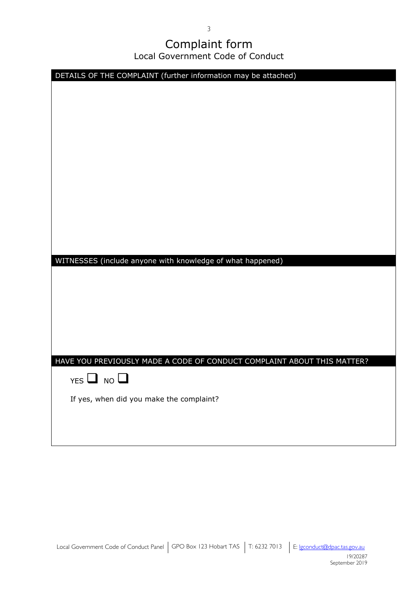## Complaint form

Local Government Code of Conduct

| DETAILS OF THE COMPLAINT (further information may be attached)          |
|-------------------------------------------------------------------------|
|                                                                         |
|                                                                         |
|                                                                         |
|                                                                         |
|                                                                         |
|                                                                         |
|                                                                         |
|                                                                         |
|                                                                         |
|                                                                         |
|                                                                         |
|                                                                         |
| WITNESSES (include anyone with knowledge of what happened)              |
|                                                                         |
|                                                                         |
|                                                                         |
|                                                                         |
|                                                                         |
| HAVE YOU PREVIOUSLY MADE A CODE OF CONDUCT COMPLAINT ABOUT THIS MATTER? |
| $YES$ $\Box$ NO $\Box$                                                  |
| If yes, when did you make the complaint?                                |
|                                                                         |
|                                                                         |
|                                                                         |